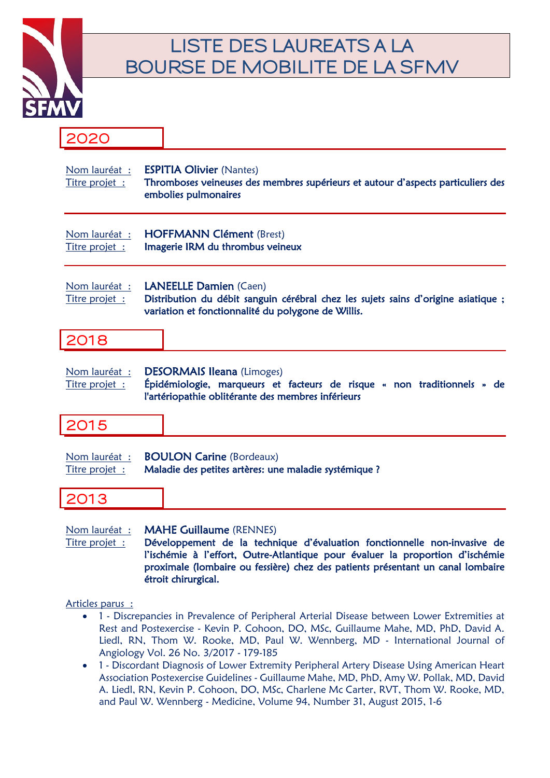

## **LISTE DES LAUREATS A LA BOURSE DE MOBILITE DE LA SFMV**

### **2020**

| Nom lauréat :<br>Titre projet : |                                                                                          | <b>ESPITIA Olivier (Nantes)</b><br>Thromboses veineuses des membres supérieurs et autour d'aspects particuliers des<br>embolies pulmonaires                               |
|---------------------------------|------------------------------------------------------------------------------------------|---------------------------------------------------------------------------------------------------------------------------------------------------------------------------|
| Nom lauréat :<br>Titre projet : |                                                                                          | <b>HOFFMANN Clément (Brest)</b><br>Imagerie IRM du thrombus veineux                                                                                                       |
| Nom lauréat :<br>Titre projet : |                                                                                          | <b>LANEELLE Damien (Caen)</b><br>Distribution du débit sanguin cérébral chez les sujets sains d'origine asiatique ;<br>variation et fonctionnalité du polygone de Willis. |
| 2018                            |                                                                                          |                                                                                                                                                                           |
| Nom lauréat :<br>Titre projet : |                                                                                          | <b>DESORMAIS Ileana (Limoges)</b><br>Épidémiologie, marqueurs et facteurs de risque « non traditionnels » de<br>l'artériopathie oblitérante des membres inférieurs        |
| 2015                            |                                                                                          |                                                                                                                                                                           |
| Nom lauréat :<br>Titre projet : | <b>BOULON Carine (Bordeaux)</b><br>Maladie des petites artères: une maladie systémique ? |                                                                                                                                                                           |
| 2013                            |                                                                                          |                                                                                                                                                                           |
| Nom lauréat :<br>Titre projet · |                                                                                          | <b>MAHE Guillaume (RENNES)</b><br>Développement de la technique d'évaluation fonctionnelle non-invasive de                                                                |

Titre projet : Développement de la technique d'évaluation fonctionnelle non-invasive de l'ischémie à l'effort, Outre-Atlantique pour évaluer la proportion d'ischémie proximale (lombaire ou fessière) chez des patients présentant un canal lombaire étroit chirurgical.

Articles parus :

- 1 Discrepancies in Prevalence of Peripheral Arterial Disease between Lower Extremities at Rest and Postexercise - Kevin P. Cohoon, DO, MSc, Guillaume Mahe, MD, PhD, David A. Liedl, RN, Thom W. Rooke, MD, Paul W. Wennberg, MD - International Journal of Angiology Vol. 26 No. 3/2017 - 179-185
- 1 Discordant Diagnosis of Lower Extremity Peripheral Artery Disease Using American Heart Association Postexercise Guidelines - Guillaume Mahe, MD, PhD, Amy W. Pollak, MD, David A. Liedl, RN, Kevin P. Cohoon, DO, MSc, Charlene Mc Carter, RVT, Thom W. Rooke, MD, and Paul W. Wennberg - Medicine, Volume 94, Number 31, August 2015, 1-6